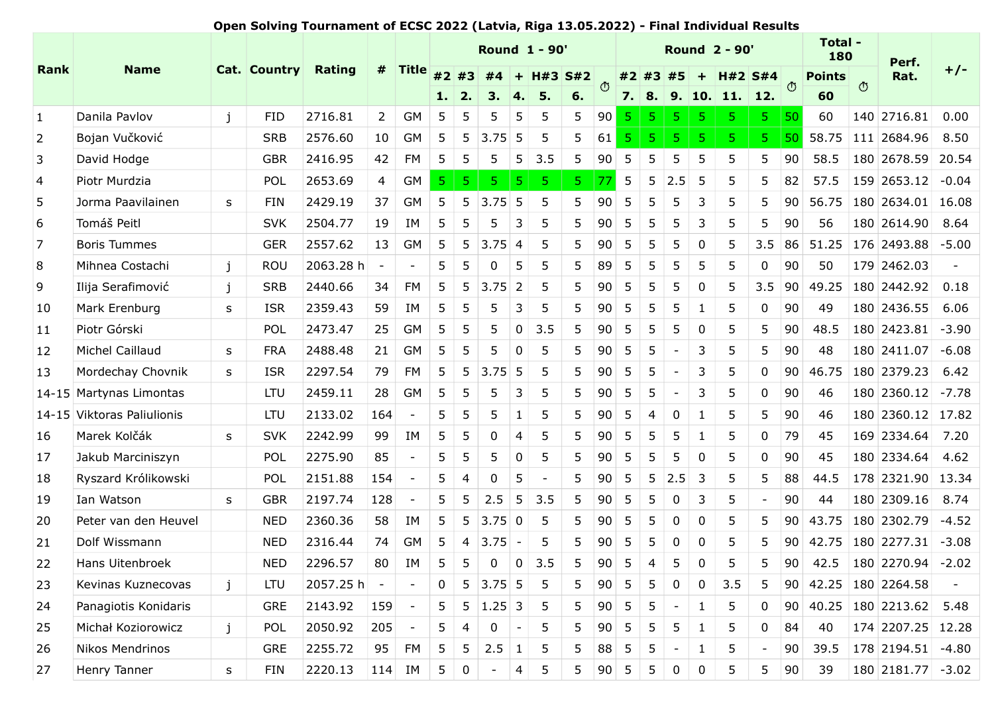## Open Solving Tournament of ECSC 2022 (Latvia, Riga 13.05.2022) - Final Individual Results

|                 |                            |              |              | Open Solving Tournament of ECSC 2022 (Latvia, Riga 13.05.2022) - Final Individual Results |                 |                          |                 |                 |                        |                         | <b>Round 1 - 90'</b>                                               |    |        |                 |                |                          |                  | <b>Round 2 - 90'</b>                        |                          |                 | Total -              |         |                                                  |       |
|-----------------|----------------------------|--------------|--------------|-------------------------------------------------------------------------------------------|-----------------|--------------------------|-----------------|-----------------|------------------------|-------------------------|--------------------------------------------------------------------|----|--------|-----------------|----------------|--------------------------|------------------|---------------------------------------------|--------------------------|-----------------|----------------------|---------|--------------------------------------------------|-------|
| Rank            | <b>Name</b>                |              | Cat. Country | Rating                                                                                    | #               | <b>Title</b>             | #2 #3           |                 |                        |                         | $\sqrt{\frac{1}{44} + \frac{1}{43} \cdot \frac{1}{12}}$ $\sqrt{3}$ |    |        |                 |                |                          |                  | $\frac{1}{2}$ #3 #5 + H#2 S#4 $\frac{1}{2}$ |                          |                 | 180<br><b>Points</b> |         | Perf.<br>Rat.                                    | $+/-$ |
|                 |                            |              |              |                                                                                           |                 |                          |                 |                 |                        |                         |                                                                    | 6. |        | 7.   8.         |                |                          |                  | 9.  10.  11.  12.                           |                          |                 | 60                   | $\circ$ |                                                  |       |
| $\vert$ 1       | Danila Pavlov              | $\mathbf{j}$ | <b>FID</b>   | 2716.81                                                                                   | 2               | GM                       | -5              | -5              |                        | 5                       | -5                                                                 | 5  | $90$ 5 |                 | -5 -           | -5.                      | 5                | -5.                                         | -5.                      | $ 50\rangle$    | 60                   |         | $140$ 2716.81 0.00                               |       |
| $\overline{2}$  | Bojan Vučković             |              | <b>SRB</b>   | 2576.60                                                                                   | 10 <sup>1</sup> | GM                       | 5               | -5              | 3.75                   | -5                      | 5                                                                  | 5  | 61     |                 |                |                          |                  |                                             |                          | 50              |                      |         | 58.75 111 2684.96 8.50                           |       |
| $\vert$ 3       | David Hodge                |              | <b>GBR</b>   | 2416.95                                                                                   | 42              | FM                       |                 | -5              |                        | 5                       | 3.5                                                                | 5  | 90     | 5               |                |                          | 5                | 5                                           | 5                        | 90              | 58.5                 |         | 180 2678.59 20.54                                |       |
| $\vert 4 \vert$ | Piotr Murdzia              |              | POL          | 2653.69                                                                                   | 4 <sup>1</sup>  | GM                       |                 |                 |                        |                         |                                                                    |    |        | $5\phantom{.0}$ | 5              | 2.5                      | -5               | 5                                           |                          | 82              | 57.5                 |         | $ 159 2653.12  -0.04$                            |       |
| $\overline{5}$  | Jorma Paavilainen          | S            | <b>FIN</b>   | 2429.19                                                                                   | 37              | <b>GM</b>                |                 | -5              | 3.75                   | -5                      |                                                                    |    |        |                 |                |                          |                  | 5                                           |                          | 90              |                      |         | 56.75   180   2634.01   16.08                    |       |
| 6               | Tomáš Peitl                |              | <b>SVK</b>   | 2504.77                                                                                   | 19              | ΙM                       |                 |                 |                        | 3                       |                                                                    |    |        |                 |                |                          |                  |                                             |                          | 90              | 56                   |         | 180 2614.90 8.64                                 |       |
| $\overline{7}$  | <b>Boris Tummes</b>        |              | <b>GER</b>   | 2557.62                                                                                   | 13              | GM                       | 5               | 5               | 3.75                   | $\overline{4}$          |                                                                    |    | 90     |                 |                |                          |                  | 5                                           | 3.5                      | 86              |                      |         | $51.25$   176   2493.88   -5.00                  |       |
| 8               | Mihnea Costachi            | j            | ROU          | 2063.28 h                                                                                 |                 |                          | 5 <sub>1</sub>  | $\vert 5$       | $\overline{0}$         | 5                       | 5                                                                  | 5  | 89 5   |                 | 5 <sub>5</sub> | $\vert 5 \vert$          | 5                | 5                                           |                          | $0 \mid 90$     | 50                   |         | 179 2462.03                                      |       |
| 9               | Ilija Serafimović          |              | <b>SRB</b>   | 2440.66                                                                                   | 34              | FM                       | 5               |                 | $5 \vert 3.75 \vert 2$ |                         | 5                                                                  | 5  | 90     | 5               |                |                          |                  | 5                                           | 3.5                      | 90              | 49.25                |         | $180$ 2442.92 0.18                               |       |
| 10              | Mark Erenburg              | S.           | <b>ISR</b>   | 2359.43                                                                                   | 59              | IM                       | $5\overline{)}$ | 5               | 5                      | $\mathbf{3}$            | 5                                                                  | 5  | 90     | 5               | 5              | 5                        | -1               | 5                                           | $\mathbf{0}$             | 90              | 49                   |         | $180 2436.55 $ 6.06                              |       |
| 11              | Piotr Górski               |              | POL          | 2473.47                                                                                   | 25              | GM                       | 5               | -5              | 5                      | $\overline{0}$          | 3.5                                                                | 5  | 90     | 5               | -5             | 5                        | 0                | 5                                           | 5                        | 90              | 48.5                 |         | $ 180 2423.81  -3.90$                            |       |
| 12              | Michel Caillaud            | S            | <b>FRA</b>   | 2488.48                                                                                   |                 | $21$ GM                  | 5               | -5              | 5                      | $\overline{0}$          | 5                                                                  | 5  | 90     | 5               | 5              | $\overline{a}$           | 3                | 5                                           | 5                        | 90              | 48                   |         | $180 2411.07  -6.08$                             |       |
| 13              | Mordechay Chovnik          | S.           | <b>ISR</b>   | 2297.54                                                                                   | 79              | FM                       | 5 <sup>5</sup>  |                 | $5 \mid 3.75 \mid 5$   |                         | 5                                                                  | 5  | 90     | 5               | 5              |                          | 3                | 5                                           | $\mathbf 0$              | 90              | 46.75                |         | $ 180 2379.23 $ 6.42                             |       |
|                 | 14-15 Martynas Limontas    |              | LTU          | 2459.11                                                                                   | 28              | GM                       | $5\phantom{.0}$ | 5               | 5                      | $\overline{\mathbf{3}}$ | 5                                                                  | 5  | 90     | 5               | 5              | $\overline{\phantom{0}}$ | 3                | 5                                           | $\mathbf 0$              | 90              | 46                   |         | $180 2360.12  -7.78$                             |       |
|                 | 14-15 Viktoras Paliulionis |              | <b>LTU</b>   | 2133.02                                                                                   | 164             |                          | 5               | 5               | 5                      | $\vert$ 1               | 5                                                                  | 5  | 90     | 5               | -4             | $\mathbf 0$              | -1               | 5                                           | 5                        | 90              | 46                   |         | 180 2360.12 17.82                                |       |
| 16              | Marek Kolčák               | S            | <b>SVK</b>   | 2242.99                                                                                   | 99              | IM                       | $5\phantom{.0}$ | -5              | 0                      | 4                       | 5                                                                  | 5  | 90     | $5\phantom{.0}$ | 5              | 5                        |                  | 5                                           | $\mathbf 0$              | 79              | 45                   |         | 169 2334.64 7.20                                 |       |
| 17              | Jakub Marciniszyn          |              | POL          | 2275.90                                                                                   | 85              |                          | 5               | 5               | 5                      | $\overline{0}$          | 5                                                                  | 5  | 90     | 5               | 5              | 5                        | 0                | 5                                           | $\mathbf 0$              | 90              | 45                   |         | 180 2334.64 4.62                                 |       |
| 18              | Ryszard Królikowski        |              | POL          | 2151.88                                                                                   | 154             |                          | 5 <sup>1</sup>  | $\overline{4}$  | $\boldsymbol{0}$       | 5                       | $\overline{\phantom{a}}$                                           | 5  | 90     | $5\overline{)}$ | 5 2.5          |                          | $\overline{3}$   | 5                                           | 5                        | 88              | 44.5                 |         | 178 2321.90 13.34                                |       |
| 19              | Ian Watson                 | S            | <b>GBR</b>   | 2197.74                                                                                   | 128             |                          | 5 <sub>1</sub>  | 5               | $2.5 \mid 5$           |                         | 3.5                                                                | 5  | 90     | 5               | 5              | $\mathbf 0$              | 3                | 5                                           |                          | 90              | 44                   |         | 180 2309.16 8.74                                 |       |
| 20              | Peter van den Heuvel       |              | <b>NED</b>   | 2360.36                                                                                   | 58              | IM                       | 5 <sup>5</sup>  |                 | $5 \mid 3.75 \mid 0$   |                         | $5\overline{5}$                                                    | 5  | 90     | $5\overline{)}$ | 5              | $\mathbf 0$              | $\boldsymbol{0}$ | 5                                           | 5                        |                 |                      |         | $ 90 $ 43.75 $ 180 $ 2302.79 -4.52               |       |
| 21              | Dolf Wissmann              |              | <b>NED</b>   | 2316.44                                                                                   |                 | 74 GM                    | 5 <sub>1</sub>  |                 | $4 \mid 3.75 \mid -$   |                         | $5\phantom{.0}$                                                    | 5  | 90     | 5               | 5              | $\mathbf 0$              | $\mathbf 0$      | 5                                           | -5                       |                 |                      |         | $90 \mid 42.75 \mid 180 \mid 2277.31 \mid -3.08$ |       |
| 22              | Hans Uitenbroek            |              | <b>NED</b>   | 2296.57                                                                                   | 80              | IM                       | $5\overline{)}$ | -5              | $\mathbf 0$            | 0                       | 3.5                                                                | 5  | 90     | 5               | 4              | 5                        | $\boldsymbol{0}$ | 5                                           | 5                        | 90 <sub>1</sub> | 42.5                 |         | $ 180 2270.94  -2.02$                            |       |
| 23              | Kevinas Kuznecovas         | j            | <b>LTU</b>   | $2057.25 h -$                                                                             |                 | $\sim$ $-$               |                 |                 | $0$ 5 3.75 5           |                         | $5\phantom{.0}$                                                    | 5  | 90     | 5               | 5              | $\mathbf 0$              | $\mathbf 0$      | 3.5                                         | 5                        |                 |                      |         | 90 42.25 180 2264.58                             |       |
| 24              | Panagiotis Konidaris       |              | <b>GRE</b>   | 2143.92                                                                                   | 159             | $\overline{a}$           | 5 <sup>1</sup>  |                 | $5 \mid 1.25 \mid 3$   |                         | 5                                                                  | 5  | 90     | $5\overline{)}$ | 5              | $\overline{\phantom{a}}$ | $\mathbf{1}$     | 5                                           | $\mathbf 0$              |                 |                      |         | $ 90 $ 40.25 $ 180 $ 2213.62 5.48                |       |
| 25              | Michał Koziorowicz         | j            | POL          | 2050.92                                                                                   | 205             | $\overline{\phantom{a}}$ | 5 <sup>5</sup>  | $\overline{4}$  | $\bf{0}$               | $\sim$                  | 5                                                                  | 5  | 90     | 5               | 5              | 5                        |                  | 5                                           | $\mathbf{0}$             | 84              | 40                   |         | 174 2207.25 12.28                                |       |
| 26              | Nikos Mendrinos            |              | <b>GRE</b>   | 2255.72                                                                                   | 95              | FM                       | 5 <sup>5</sup>  | $5\overline{)}$ | $2.5 \mid 1 \mid$      |                         | $5\overline{5}$                                                    | 5  | 88     | $5\overline{)}$ | 5 <sup>5</sup> | $\sim$                   | $\mathbf{1}$     | 5                                           | $\overline{\phantom{a}}$ | 90              | 39.5                 |         | $ 178 2194.51  -4.80$                            |       |
| 27              | Henry Tanner               | S            | FIN          | 2220.13                                                                                   |                 | $ 114 $ IM               |                 | $5 \mid 0 \mid$ | $-$ 4                  |                         | $5\overline{)}$                                                    | 5  | 90     | $5\overline{)}$ | 5              | $\mathbf 0$              | $\mathbf 0$      | 5                                           | 5                        | 90              | 39                   |         | $ 180 2181.77 $ -3.02                            |       |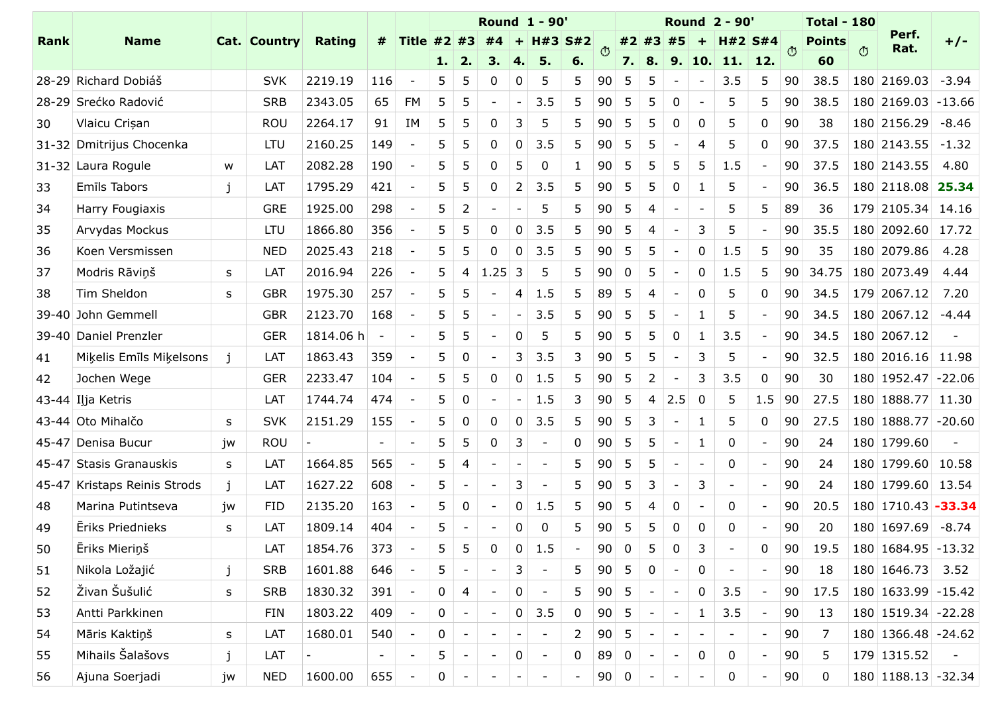| Rank | <b>Name</b>                                 |           | Cat. Country             | Rating                   |                          | Title $#2$ $#3$          |                     |                 | <b>Round 1 - 90'</b>     |                         |             | $H#3$ S#2 $^{\circ}$ |                 |                                    | #2 #3 #5                          |                          |                                   | <b>Round 2 - 90'</b><br>$H#2$ S#4 |                          |            | <b>Points</b> | <b>Total - 180</b> | Perf.                 | $+/-$                  |
|------|---------------------------------------------|-----------|--------------------------|--------------------------|--------------------------|--------------------------|---------------------|-----------------|--------------------------|-------------------------|-------------|----------------------|-----------------|------------------------------------|-----------------------------------|--------------------------|-----------------------------------|-----------------------------------|--------------------------|------------|---------------|--------------------|-----------------------|------------------------|
|      |                                             |           |                          |                          |                          |                          |                     | 1.12.           |                          |                         |             | 6.                   |                 | 7.                                 | 8.                                | 9.                       |                                   | 10. 11. 12.                       |                          | $\circ$    | 60            | $\circ$            | Rat.                  |                        |
|      | 28-29 Richard Dobiáš                        |           | <b>SVK</b>               | 2219.19                  | 116                      |                          |                     |                 |                          |                         |             |                      | 90              |                                    |                                   |                          |                                   | 3.5                               | 5                        | 90         | 38.5          |                    | $180$ 2169.03 -3.94   |                        |
|      | 28-29 Srećko Radović                        |           | <b>SRB</b>               | 2343.05                  | 65                       | FM                       |                     |                 |                          |                         | 3.5         | -5                   | 90              | 5                                  |                                   |                          |                                   | 5                                 |                          | 90         | 38.5          |                    |                       | $ 180 2169.03  -13.66$ |
| 30   | Vlaicu Crișan                               |           | ROU                      | 2264.17                  | 91                       | ΙM                       |                     |                 |                          |                         |             |                      |                 | 5                                  |                                   |                          |                                   | 5                                 | $\mathbf{0}$             | 90         | 38            |                    |                       | 180 2156.29 -8.46      |
|      | 31-32 Dmitrijus Chocenka                    |           | <b>LTU</b>               | 2160.25                  | 149                      |                          |                     |                 |                          |                         | 3.5         | -5                   | 90              | 5                                  |                                   |                          |                                   | 5                                 | 0                        | 90         | 37.5          |                    |                       | $ 180 2143.55  -1.32$  |
|      | 31-32 Laura Rogule                          | W         | LAT                      | 2082.28                  | 190                      |                          |                     |                 |                          |                         |             |                      | 90              | 5                                  |                                   |                          |                                   | 1.5                               |                          | 90         | 37.5          |                    | $ 180 2143.55 $ 4.80  |                        |
| 33   | Emīls Tabors                                |           | LAT                      | 1795.29                  | 421                      |                          |                     | 5               |                          | 2                       | 3.5         | -5                   | 90              | 5                                  | -5                                | 0                        |                                   | 5                                 |                          | 90         | 36.5          |                    |                       | $180$ 2118.08 25.34    |
| 34   | Harry Fougiaxis                             |           | <b>GRE</b>               | 1925.00                  | 298                      |                          |                     | -2              |                          |                         | 5           | 5                    | 90              | 5                                  |                                   |                          |                                   | 5                                 | 5                        | 89         | 36            |                    |                       | $179$ 2105.34 14.16    |
| 35   | Arvydas Mockus                              |           | <b>LTU</b>               | 1866.80                  | 356                      |                          |                     |                 |                          |                         | 3.5         | 5                    | 90              | 5                                  |                                   |                          | 3                                 | 5                                 |                          | 90         |               |                    |                       | 35.5 180 2092.60 17.72 |
| 36   | Koen Versmissen                             |           | <b>NED</b>               | 2025.43                  | 218                      |                          | 5                   | -5              | $\Omega$                 | $\mathbf 0$             | 3.5         | 5                    | 90              | $5\overline{)}$                    | $5^{\circ}$                       | $\overline{\phantom{a}}$ | $\mathbf{0}$                      | 1.5                               | 5                        | 90         | 35            |                    | 180 2079.86 4.28      |                        |
| 37   | Modris Rāviņš                               | S         | LAT                      | 2016.94                  | 226                      | $\overline{\phantom{a}}$ | 5 <sub>1</sub>      | -4              | $ 1.25 $ 3               |                         | 5           | 5                    | 90              | $\mathbf 0$                        | $5\phantom{.0}$                   | $\sim$                   | $\mathbf 0$                       | 1.5                               | 5                        | 90         |               |                    | 34.75   180   2073.49 | 4.44                   |
| 38   | Tim Sheldon                                 | S.        | <b>GBR</b>               | 1975.30                  | 257                      |                          | 5                   | $5\phantom{.0}$ | $\sim$                   | 4                       | 1.5         | 5                    | 89              | $5\overline{)}$                    | 4                                 | $\overline{\phantom{a}}$ | 0                                 | 5                                 | $\mathbf 0$              | 90         |               |                    | 34.5 179 2067.12 7.20 |                        |
|      | 39-40 John Gemmell<br>39-40 Daniel Prenzler |           | <b>GBR</b><br><b>GER</b> | 2123.70<br>1814.06 h     | 168<br>$\overline{a}$    | $\overline{\phantom{a}}$ | 5<br>5 <sup>1</sup> | -5<br>-5        |                          | $\sim$<br>0             | 3.5<br>5    | 5<br>5               | 90<br>90        | $5\phantom{.0}$<br>$5\overline{)}$ | $5\overline{)}$<br>5 <sup>5</sup> | $\sim$<br>$\overline{0}$ | $\mathbf{1}$                      | 5<br>3.5                          |                          | 90<br>90   | 34.5<br>34.5  |                    | 180 2067.12           | $ 180 2067.12  -4.44$  |
| 41   | Mikelis Emīls Mikelsons                     |           | LAT                      | 1863.43                  | 359                      |                          | 5                   | $\overline{0}$  |                          | 3                       | 3.5         | 3                    | 90              | $5\overline{)}$                    | $5\overline{)}$                   | $\overline{\phantom{a}}$ | 3                                 | 5                                 |                          | 90         | 32.5          |                    |                       | 180 2016.16 11.98      |
| 42   | Jochen Wege                                 |           | <b>GER</b>               | 2233.47                  | 104                      |                          | 5 <sup>1</sup>      | -5              | 0                        | $\mathbf 0$             | 1.5         | 5                    | 90              | $5\overline{)}$                    | $\overline{2}$                    | $\sim$                   | 3                                 | 3.5                               | $\mathbf 0$              | 90         | 30            |                    |                       | $180$ 1952.47 -22.06   |
|      | 43-44 Ilja Ketris                           |           | LAT                      | 1744.74                  | 474                      |                          | 5                   | $\overline{0}$  |                          | $-1$                    | 1.5         | $\overline{3}$       | 90              | $5\overline{)}$                    | $\overline{4}$                    | $2.5$ 0                  |                                   | 5                                 | 1.5                      | $\vert$ 90 | 27.5          |                    |                       | 180 1888.77 11.30      |
|      | 43-44 Oto Mihalčo                           | S         | <b>SVK</b>               | 2151.29                  | 155                      | $\overline{\phantom{a}}$ | 5                   | $\mathbf 0$     | 0                        | $\mathbf 0$             | 3.5         | 5 <sub>1</sub>       | 90              | $5\overline{)}$                    | $\mathbf{3}$                      | $\sim$                   | $\mathbf{1}$                      | 5                                 | $\mathbf{0}$             | 90         | 27.5          |                    |                       | $180 1888.77  - 20.60$ |
|      | 45-47 Denisa Bucur                          | jw        | ROU                      | $\vert -$                | $\sim$                   | $\overline{\phantom{a}}$ | 5                   | 5               | $\mathbf 0$              | $\overline{3}$          | $\sim$      | $\overline{0}$       | 90              | $5\phantom{.0}$                    | 5 <sub>5</sub>                    | $\sim$                   | $\begin{array}{cc} 1 \end{array}$ | $\mathbf 0$                       | $\overline{\phantom{a}}$ | 90         | 24            |                    | 180 1799.60           |                        |
|      | 45-47 Stasis Granauskis                     | S         | LAT                      | 1664.85                  | 565                      | $\overline{\phantom{a}}$ | 5                   | $\overline{4}$  |                          | $\sim$                  | $\sim$      | 5 <sub>5</sub>       | 90              | $5\overline{)}$                    | 5 <sub>o</sub>                    | $\sim$                   | $\sim$                            | $\mathbf 0$                       |                          | 90         | 24            |                    |                       | 180 1799.60 10.58      |
|      | 45-47 Kristaps Reinis Strods                | j         | LAT                      | 1627.22                  | 608                      |                          | 5                   | $\overline{a}$  | $\overline{\phantom{a}}$ | $\overline{\mathbf{3}}$ | $\sim$      | 5 <sup>5</sup>       | 90              | $5\phantom{.0}$                    | $\mathbf{3}$                      | $\sim$                   | $\mathbf{3}$                      | $\overline{a}$                    |                          | 90         | 24            |                    |                       | 180 1799.60 13.54      |
| 48   | Marina Putintseva                           | jw        | <b>FID</b>               | 2135.20                  | 163                      |                          | 5 <sup>1</sup>      | $\overline{0}$  | $\sim$                   | $\mathbf 0$             | 1.5         | 5 <sub>5</sub>       | 90              | $5\overline{)}$                    | 4                                 | $\mathbf 0$              |                                   | $\mathbf 0$                       |                          | 90         | 20.5          |                    |                       | 180 1710.43 - 33.34    |
| 49   | Eriks Priednieks                            | S         | LAT                      | 1809.14                  | 404                      |                          | 5                   | $\overline{a}$  | $\overline{\phantom{a}}$ | $\mathbf 0$             | $\mathbf 0$ | 5                    | 90              | $5\overline{)}$                    | $5\phantom{.0}$                   | $\mathbf 0$              | 0                                 | $\bf{0}$                          |                          | 90         | 20            |                    |                       | 180 1697.69 -8.74      |
| 50   | Ēriks Mieriņš                               |           | LAT                      | 1854.76                  | 373                      |                          | 5                   | 5               | $\mathbf 0$              | $\mathbf 0$             | 1.5         | $\sim$               | 90              | $\overline{0}$                     | $5\overline{)}$                   | $\mathbf 0$              | $\overline{3}$                    | $\overline{\phantom{a}}$          | $\mathbf 0$              | 90         | 19.5          |                    |                       | $180 1684.95  - 13.32$ |
| 51   | Nikola Ložajić                              | j         | <b>SRB</b>               | 1601.88                  | 646                      |                          | 5                   | $\overline{a}$  | $\sim$                   | $\overline{3}$          | $\sim$      | 5 <sup>5</sup>       | 90              | $5\overline{)}$                    | $\mathbf 0$                       | $\sim$                   | $\boldsymbol{0}$                  | $\overline{a}$                    |                          | 90         | 18            |                    | 180 1646.73 3.52      |                        |
| 52   | Živan Šušulić                               | ${\sf S}$ | <b>SRB</b>               | 1830.32                  | 391                      |                          | $\mathbf 0$         | $\overline{4}$  | $\sim$                   | $\mathbf 0$             | $\sim$      | 5 <sup>5</sup>       | 90 <sup>1</sup> | $5\overline{)}$                    | $\sim$                            | $\sim$                   | $\mathbf 0$                       | 3.5                               |                          | 90         | 17.5          |                    |                       | $180 1633.99  -15.42$  |
| 53   | Antti Parkkinen                             |           | <b>FIN</b>               | 1803.22                  | 409                      |                          | 0                   | $\overline{a}$  | $\sim$                   | $\overline{0}$          | 3.5         | $\mathbf 0$          | 90              | $5\overline{)}$                    | $\sim$                            | $\sim$                   | $\mathbf{1}$                      | 3.5                               |                          | 90         | 13            |                    |                       | 180 1519.34 -22.28     |
| 54   | Māris Kaktiņš                               | ${\sf S}$ | LAT                      | 1680.01                  | 540                      | $\overline{\phantom{a}}$ | $\mathbf 0$         | $\overline{a}$  |                          | $\sim$                  | $\sim$      | $2^{\circ}$          | 90              | $5\overline{)}$                    | $\sim$                            | $\sim$                   |                                   | $\overline{a}$                    |                          | 90         | 7             |                    |                       | 180 1366.48 -24.62     |
| 55   | Mihails Šalašovs                            | j         | LAT                      | $\overline{\phantom{a}}$ | $\overline{\phantom{0}}$ |                          | 5                   | $\sim$          | $\sim$                   | $\overline{0}$          | $\sim$      | $\overline{0}$       | 89              | $\mathbf 0$                        | $\sim$                            | $\sim$                   | $\mathbf 0$                       | $\bf{0}$                          |                          | 90         | 5             |                    | 179 1315.52           |                        |
| 56   | Ajuna Soerjadi                              | jw        | <b>NED</b>               | 1600.00                  | 655                      | $\overline{\phantom{a}}$ | $\mathbf 0$         | $\overline{a}$  |                          | $\sim$                  | $\sim$      | $\sim$               | 90              | $\overline{0}$                     | $\sim$                            | $\sim$                   | $\sim$                            | $\mathbf 0$                       |                          | 90         | $\mathbf 0$   |                    |                       | 180 1188.13 - 32.34    |